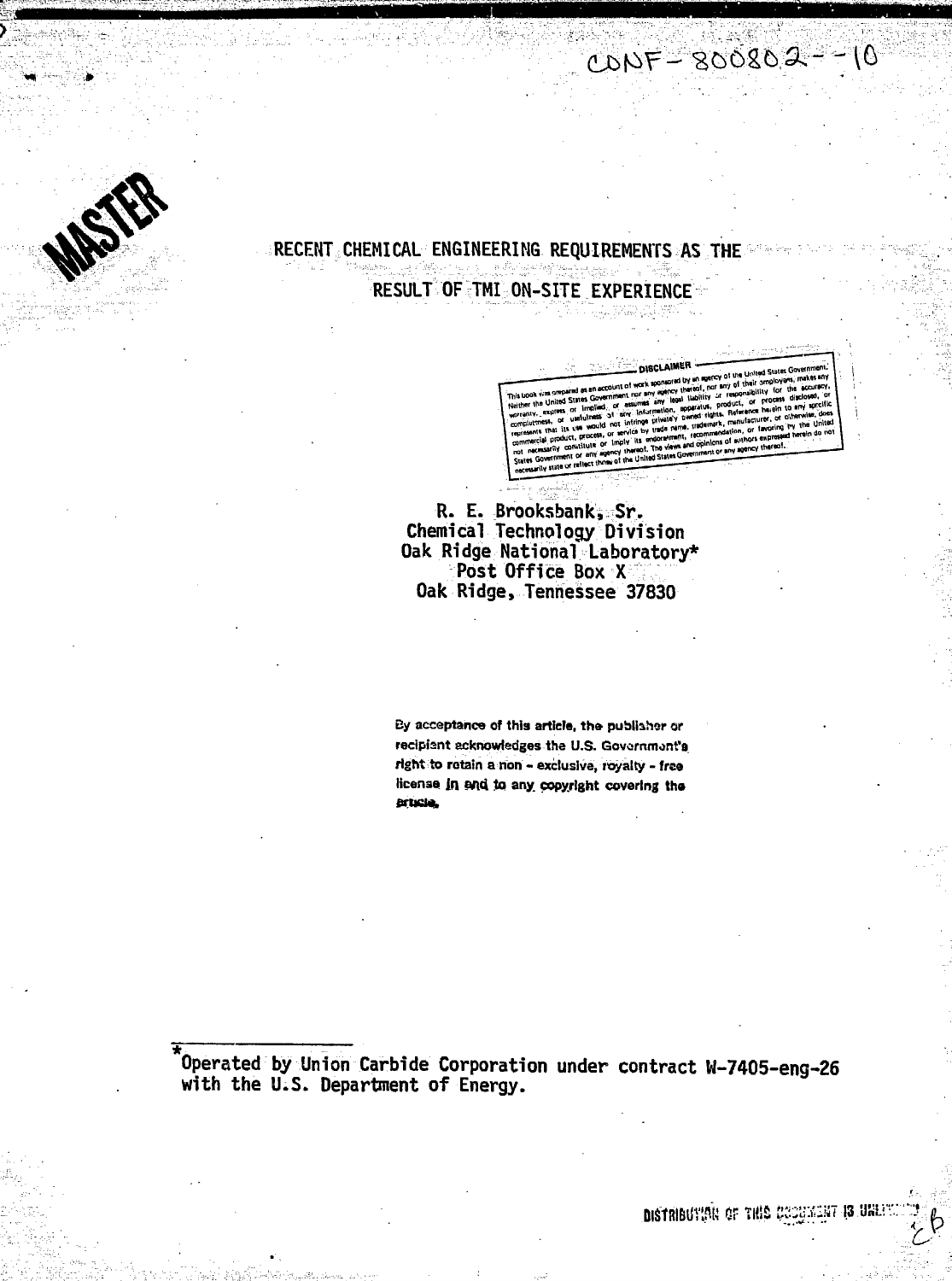# RECENT CHEMICAL ENGINEERING REQUIREMENTS AS THE RESULT OF TMI ON-SITE EXPERIENCE

 $COPF = 800802 - 10$ 

**DISCLAIMER** 

R. E. Brooksbank, Sr.<br>Chemical Technology Division Oak Ridge National Laboratory\* Post Office Box X Oak Ridge, Tennessee 37830

By acceptance of this article, the publisher or recipient acknowledges the U.S. Government's right to retain a non - exclusive, royalty - free license in and to any copyright covering the princia,

Operated by Union Carbide Corporation under contract W-7405-eng-26 with the U.S. Department of Energy.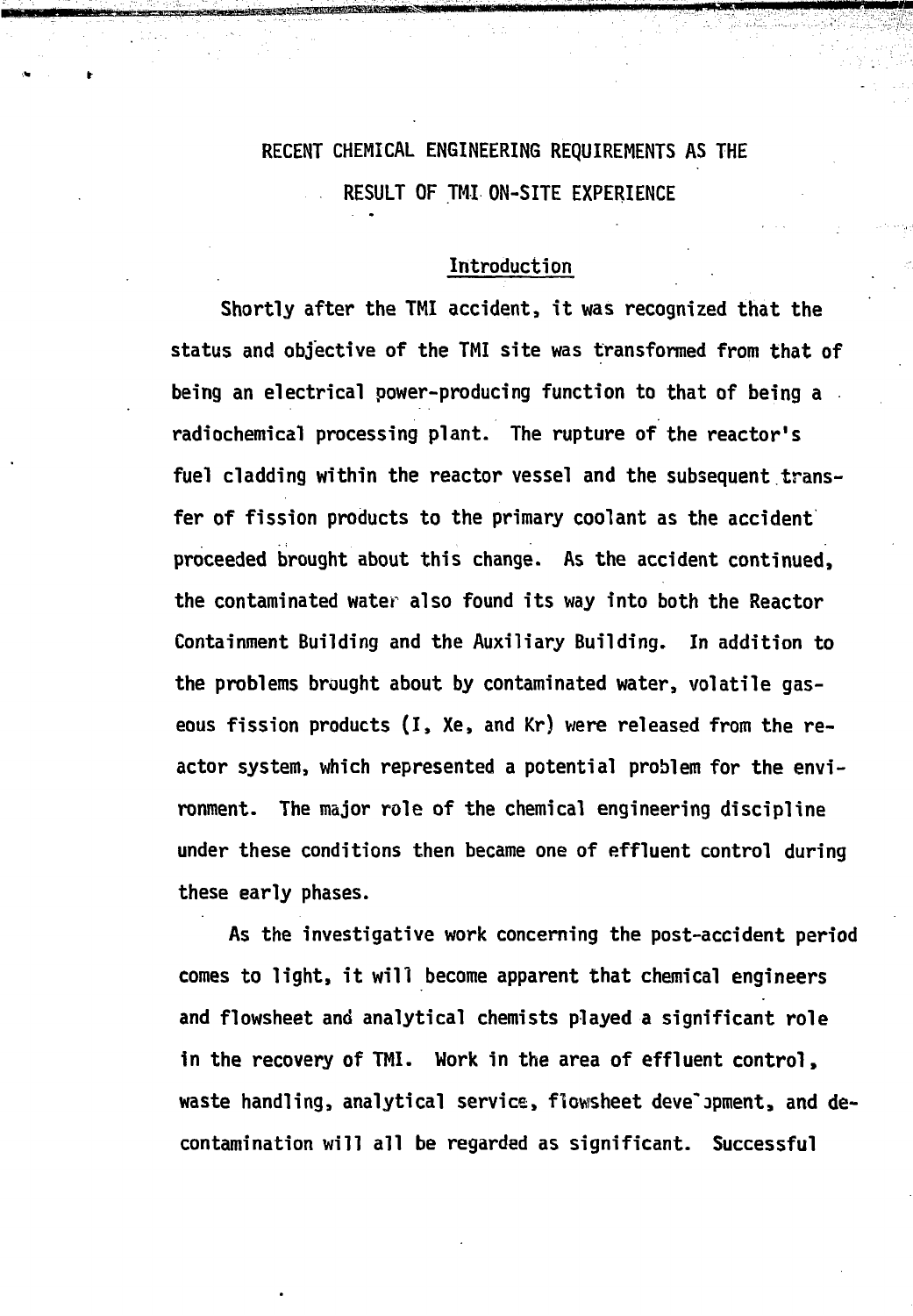# RECENT CHEMICAL ENGINEERING REQUIREMENTS AS THE RESULT OF TMI ON-SITE EXPERIENCE

# Introduction

Shortly after the TMI accident, it was recognized that the status and objective of the TMI site was transformed from that of being an electrical power-producing function to that of being a radiochemical processing plant. The rupture of the reactor's fuel cladding within the reactor vessel and the subsequent transfer of fission products to the primary coolant as the accident proceeded brought about this change. As the accident continued, the contaminated water also found its way into both the Reactor Containment Building and the Auxiliary Building. In addition to the problems brought about by contaminated water, volatile gaseous fission products (I, Xe, and Kr) were released from the reactor system, which represented a potential problem for the environment. The major role of the chemical engineering discipline under these conditions then became one of effluent control during these early phases.

As the investigative work concerning the post-accident period comes to light, it will become apparent that chemical engineers and flowsheet and analytical chemists played a significant role in the recovery of TMI. Work in the area of effluent control, waste handling, analytical service, flowsheet development, and decontamination will all be regarded as significant. Successful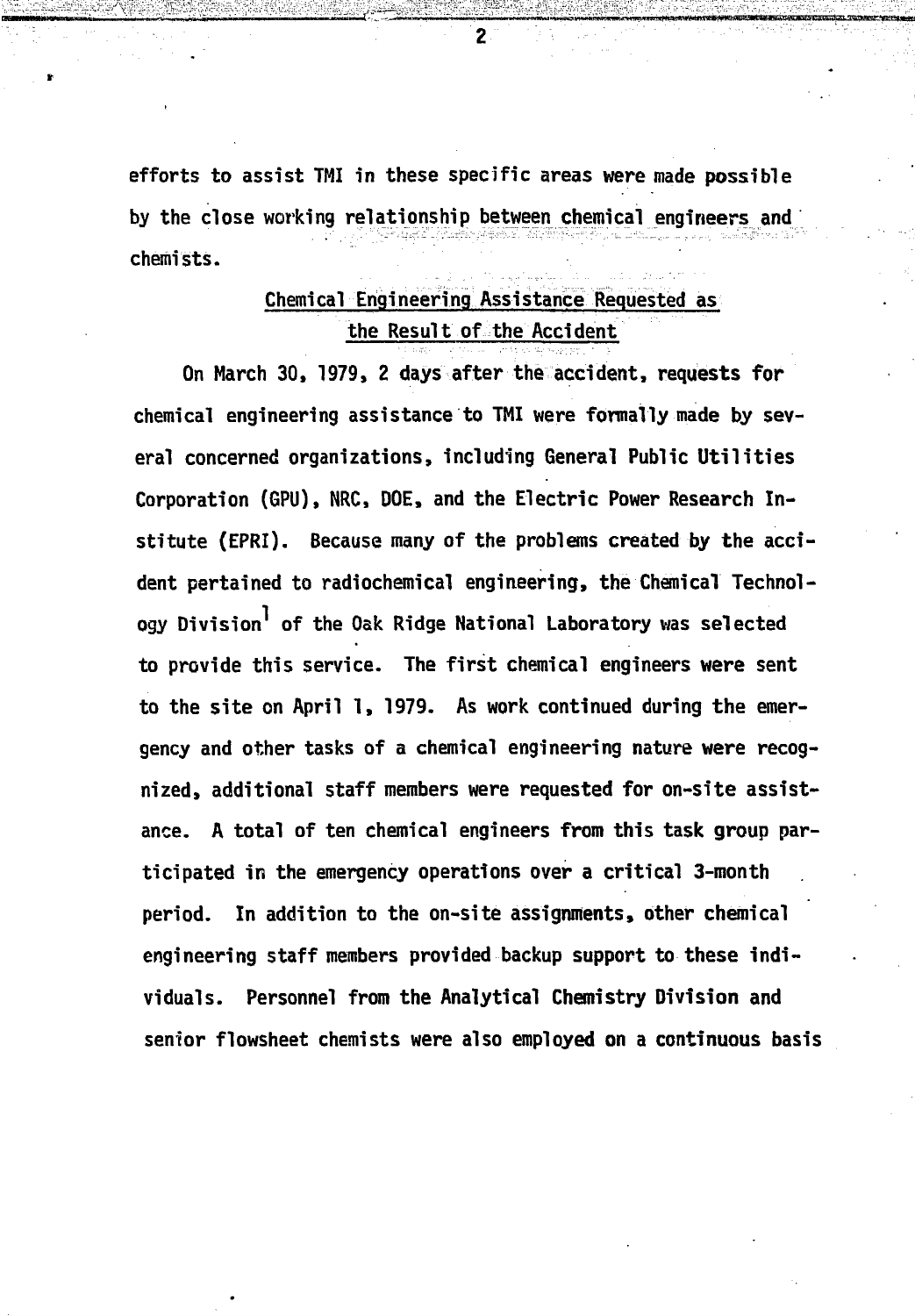**efforts to assist TMI in these specific areas were made possible by the close working relationship betweenchemical engineers and chemists.**

# **Chemical Engineering Assistance Requested as the Result of the Acci dent**

**On March 30, 1979, 2 days after the accident, requests for chemical engineering assistance to TMI were formally made by several concerned organizations, including General Public Utilities Corporation (GPU), NRC, DOE, and the Electric Power Research Institute (EPRI). Because many of the problems created by the accident pertained to radiochemical engineering, the Chemical Technol**ogy Division<sup>1</sup> of the Oak Ridge National Laboratory was selected **to provide this service. The first chemical engineers were sent to the site on April 1, 1979. As work continued during the emergency and other tasks of a chemical engineering nature were recognized, additional staff members were requested for on-site assistance. A total of ten chemical engineers from this task group participated in the emergency operations over a critical 3-month period. In addition to the on-site assignments, other chemical engineering staff members provided backup support to these individuals. Personnel from the Analytical Chemistry Division and senior flowsheet chemists were also employed on a continuous basis**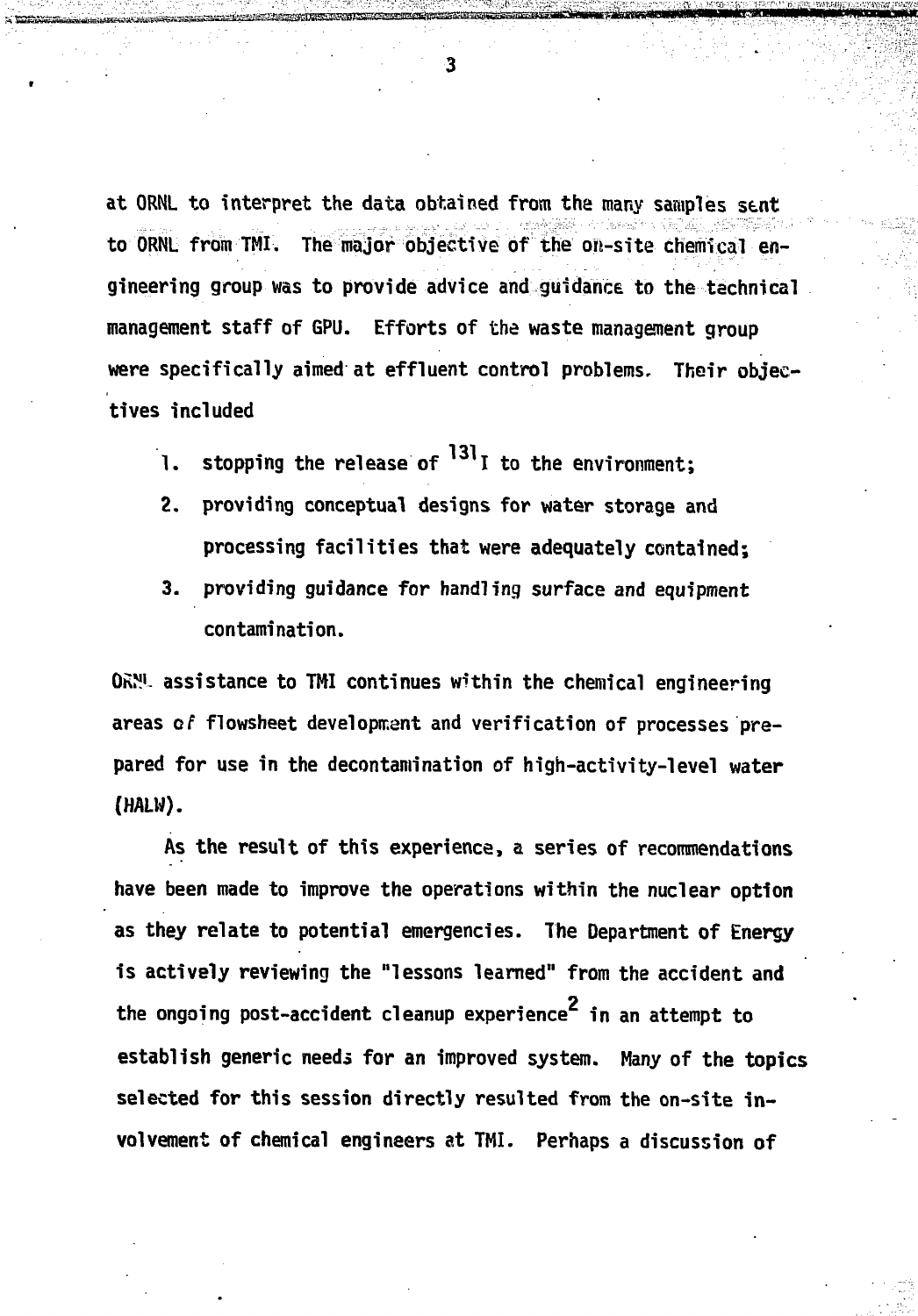**at ORNL to interpret the data obtained from the many samples sent to ORNL from TMI. The major objective of the on-site chemical engineering group was to provide advice and guidance to the technical management staff of GPU. Efforts of the waste management group were specifically aimed at effluent control problems. Their objectives included**

- stopping the release of  $^{131}$ I to the environment: 1.
- 2. providing conceptual designs for water storage and processing facilities that were adequately contained:
- 3. providing guidance for handling surface and equipment contamination.

**OhN<sup>1</sup>- assistance to TMI continues within the chemical engineering areas of flowsheet developmant and verification of processes pre**pared for use in the decontamination of high-activity-level water **pared for use in the decontamination of high-activity-level water** (HALW).

**(HALW).**

As the result of this experience, a series of recommendations **As the result of this experience, a series of recommendations** have been made to improve the operations within the nuclear option **have been made to improve the operations within the nuclear option** as they relate to potential emergencies. The Department of Energy **as they relate to potential emergencies. The Department of Energy is actively reviewing the "lessons learned" from the accident and** the ongoing post-accident cleanup experience<sup>2</sup> in an attempt to establish generic needs for an improved system. Many of the topics selected for this session directly resulted from the on-site involvement of chemical engineers at TMI. Perhaps a discussion of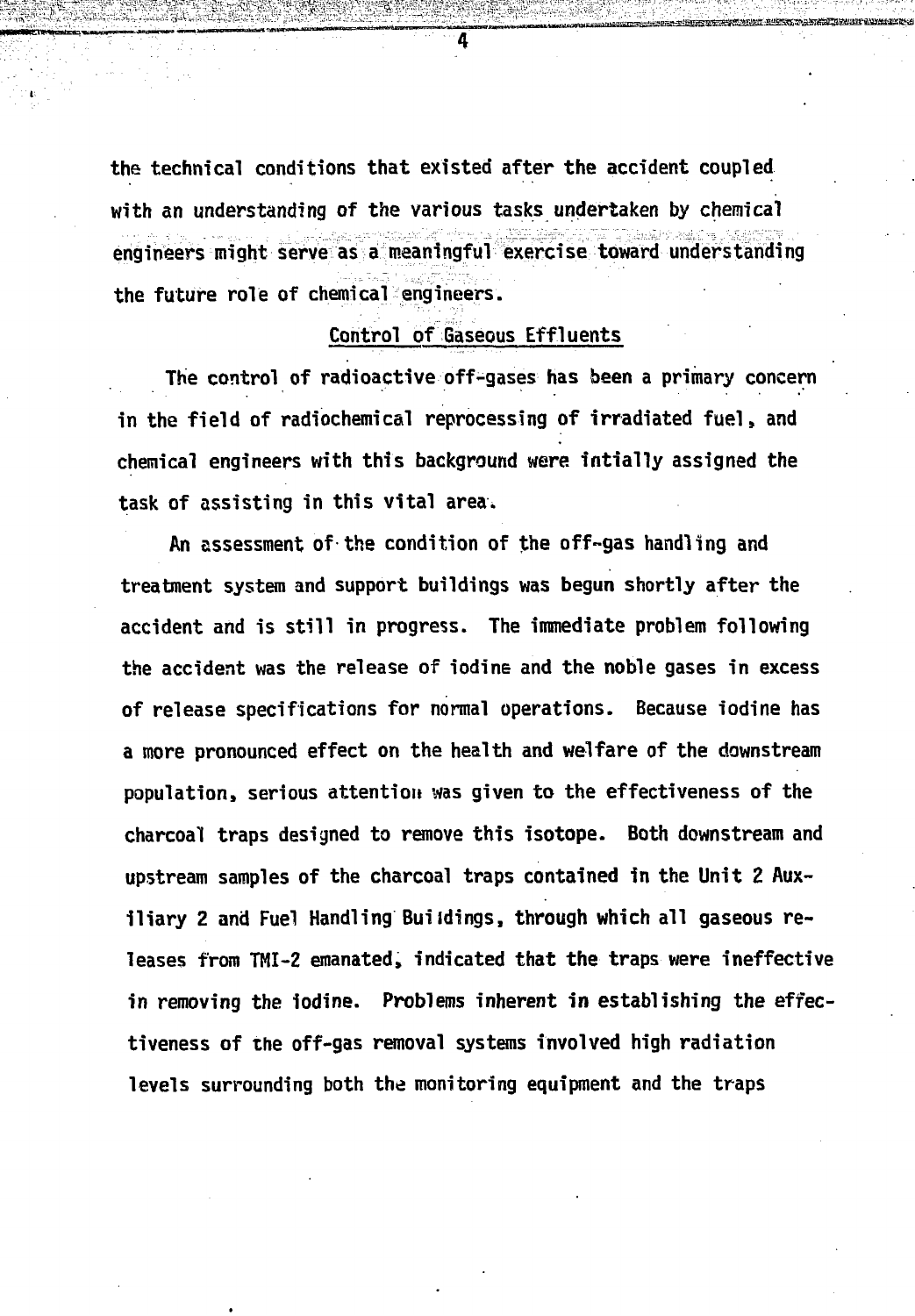**the technical conditions that existed after the accident coupled with an understanding of the various tasks undertaken by chemical engineers might serve as a meaningful exercise toward understanding the future role of chemical engineers.**

# **Control of Gaseous Effluents**

**The control of radioactive off-gases has been a primary concern in the field of radiochemical reprocessing of irradiated fuel, and chemical engineers with this background were intially assigned the task of assisting in this vital area.**

**An assessment of the condition of the off-gas handling and treatment system and support buildings was begun shortly after the accident and is still in progress. The immediate problem following the accident was the release of iodine and the noble gases in excess of release specifications for normal operations. Because iodine has a more pronounced effect on the health and welfare of the downstream population, serious attention was given to the effectiveness of the charcoal traps designed to remove this isotope. Both downstream and upstream samples of the charcoal traps contained in the Unit 2 Auxiliary 2 and Fuel Handling Buildings, through which all gaseous releases from TMI-2 emanated, indicated that the traps were ineffective in removing the iodine. Problems inherent in establishing the effectiveness of the off-gas removal systems involved high radiation levels surrounding both the monitoring equipment and the traps**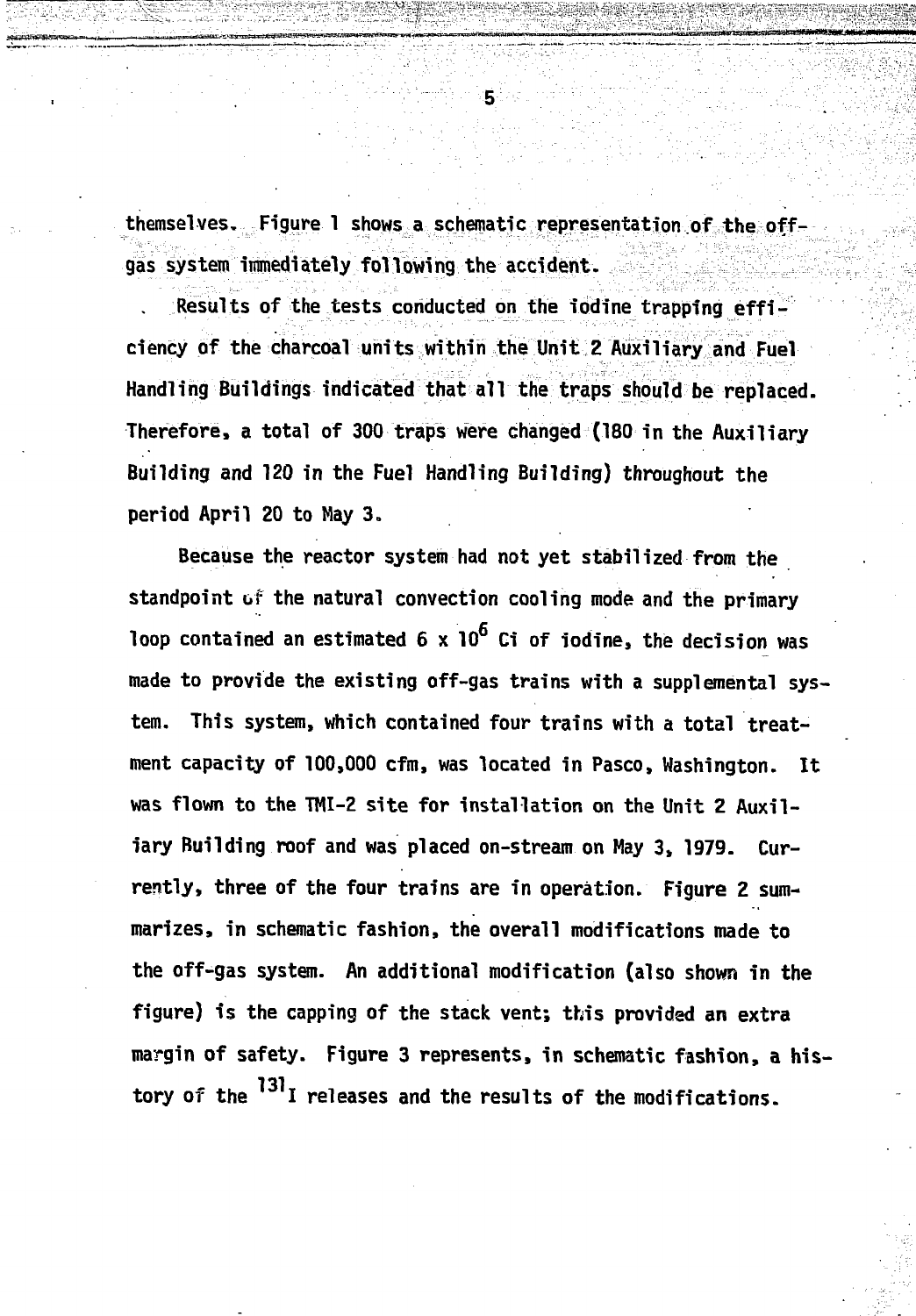**themselves. Figure 1 shows a schematic representation of the offgas system itnmediately following the accident.**

5.

**. Results of the tests conducted on the iodine trapping efficiency of the charcoal units within the Unit 2 Auxiliary and Fuel Handling Buildings indicated that all the traps should be replaced. Therefore, a total of 300 traps were changed (180 in the Auxiliary Building and 120 in the Fuel Handling Building) throughout the period April 20 to May 3.**

**Because the reactor system had not yet stabilized from the standpoint of the natural convection cooling mode and the primary** loop contained an estimated 6 x 10<sup>6</sup> Ci of iodine, the decision was **made to provide the existing off-gas trains with a supplemental system. This system, which contained four trains with a total treatment capacity of 100,000 cfm, was located in Pasco, Washington. It was flown to the TMI-2 site for installation on the Unit 2 Auxil**iary Building roof and was placed on-stream on May 3, 1979. Cur**rently, three of the four trains are in operation. Figure 2 summarizes, in schematic fashion, the overall modifications made to the off-gas system. An additional modification (also shown in the figure) is the capping of the stack vent; this provided an extra margin of safety. Figure 3 represents, in schematic fashion, a his**tory of the <sup>131</sup>I releases and the results of the modifications.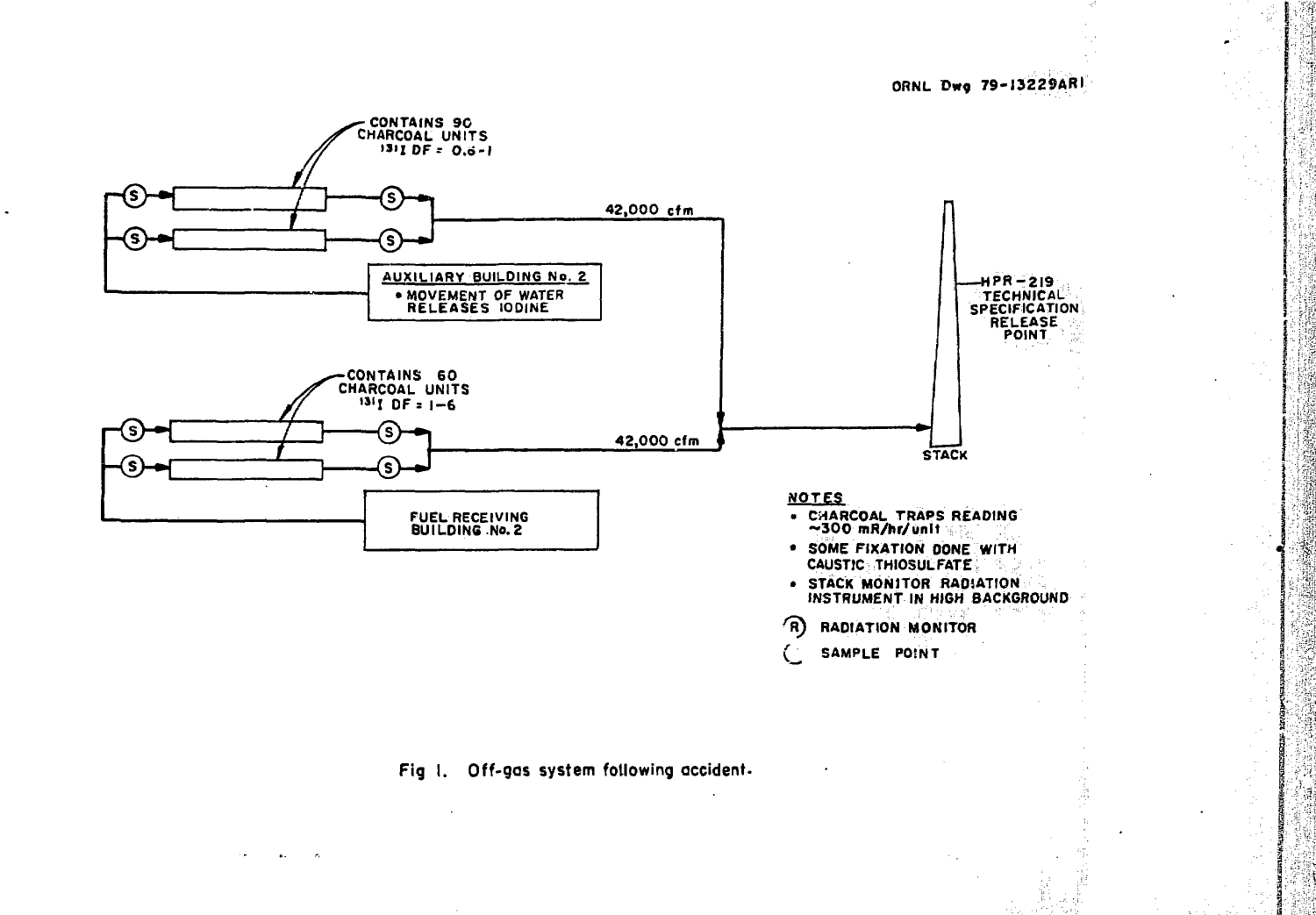ORNL Dwg 79-13229ARI

ખેતરી



Fig. I. Off-gas system following accident.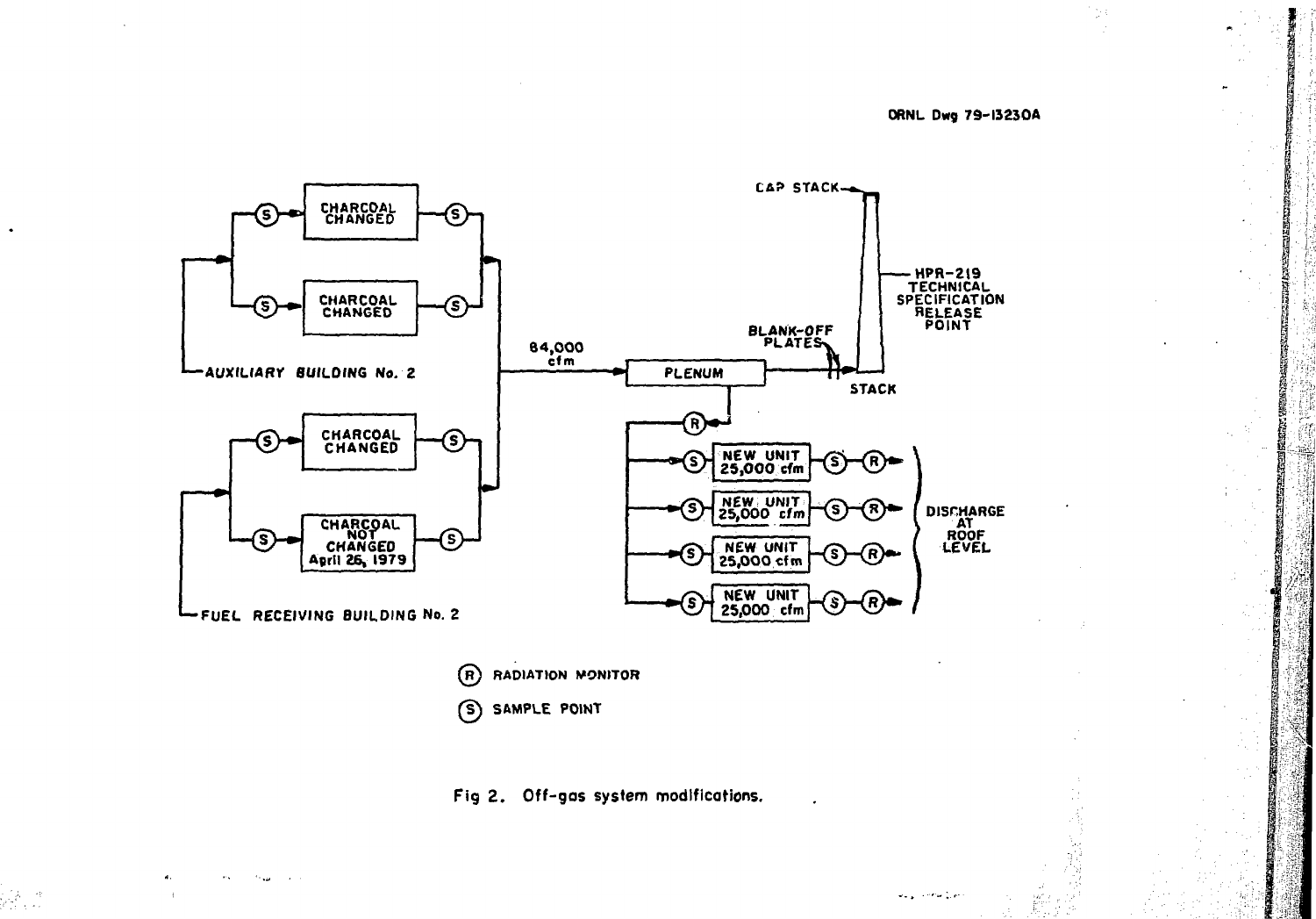#### **ORNL Dw9 79-13230A**

 $\frac{1}{\sqrt{2}}$ 

ii.<br>N



 $\binom{R}{k}$ **RADIATION MONITOR SAMPLE POINT**

**Fig 2 . Off-gos system modifications.**

 $\sim$  $\mathcal{F}_{\mathcal{F},\mathcal{F},\mathcal{F}}$ 

**Seguinea Lin** 

 $\frac{d}{dx}$ 

T.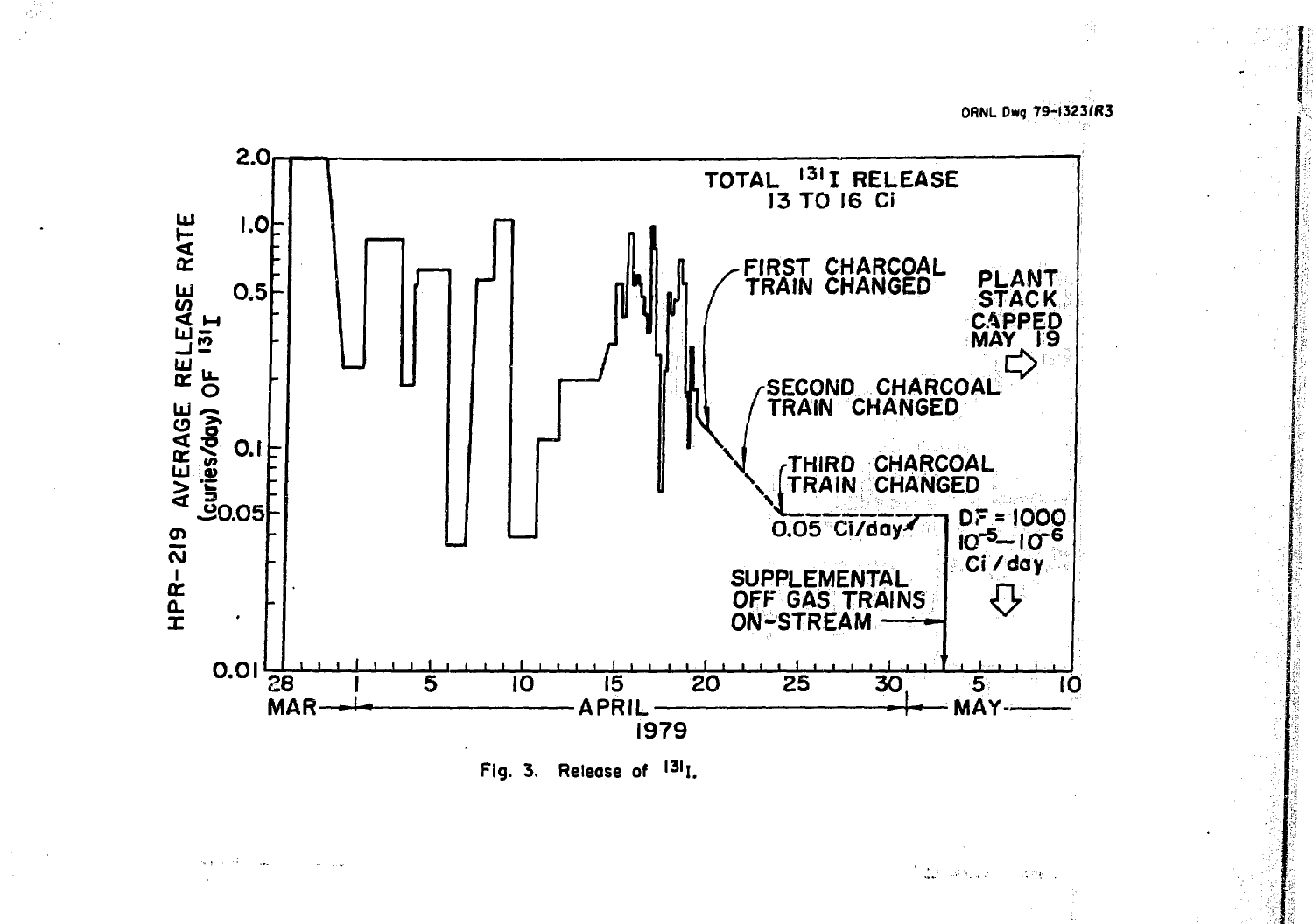ORNL Dwg 79-13231R3



Fig. 3. Release of <sup>131</sup>I.

الموارقة فللمراكبين  $\sim 13\,\mu$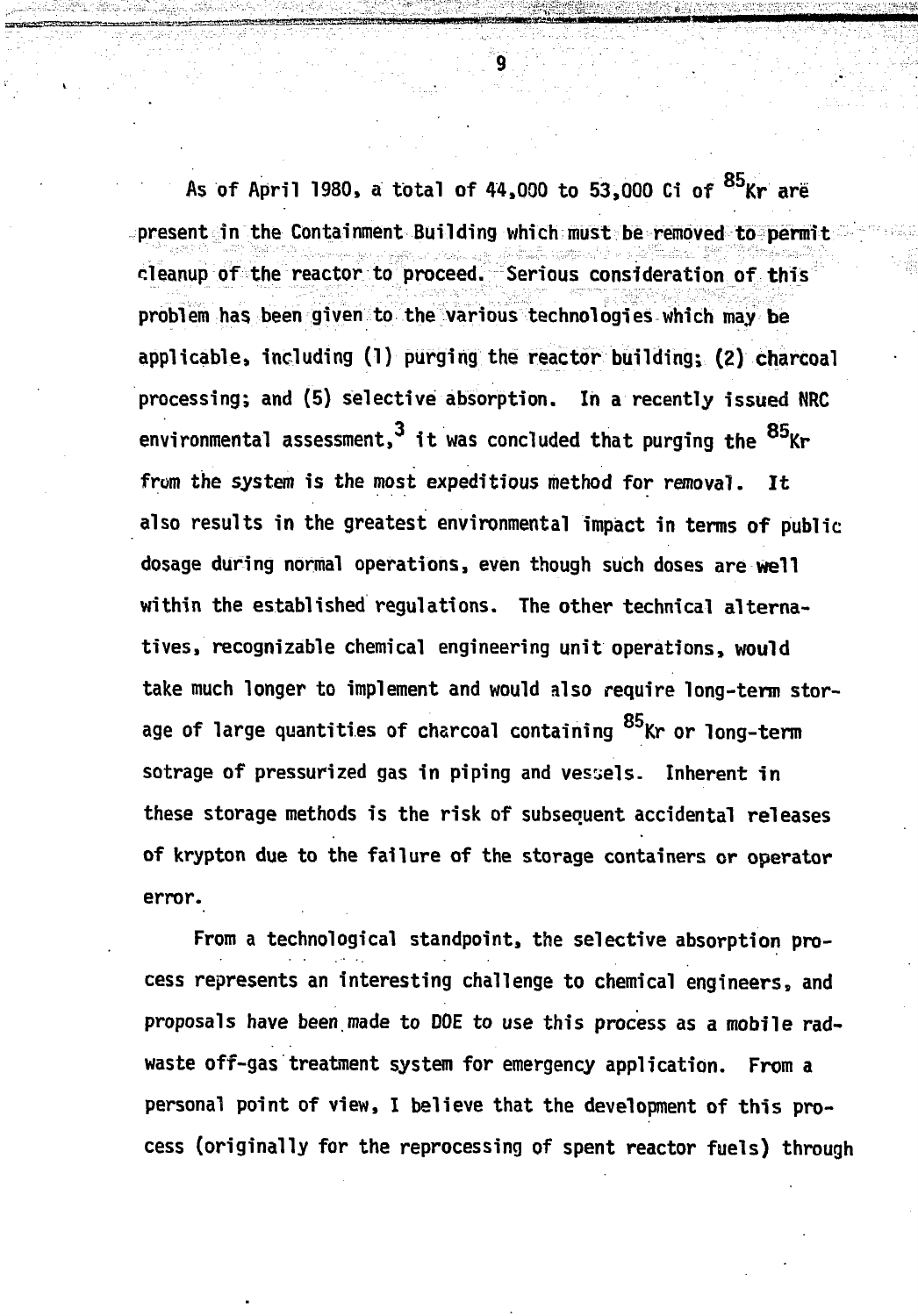As of April 1980, a total of 44,000 to 53,000 Ci of <sup>85</sup>Kr are present in the Containment Building which must be removed to permit cleanup of the reactor to proceed. Serious consideration of this problem has. been given to the various technologies which may be applicable, including (1) purging the reactor building; (2) charcoal processing; and (5) selective absorption. In a recently issued NRC environmental assessment,  $3$  it was concluded that purging the  $85$ Kr from the system is the most expeditious method for removal. It also results in the greatest environmental impact in terms of public dosage during normal operations, even though such doses are well within the established regulations. The other technical alternatives, recognizable chemical engineering unit operations, would take much longer to implement and would also require long-term storage of large quantities of charcoal containing <sup>85</sup>Kr or long-term sotrage of pressurized gas in piping and vessels. Inherent in these storage methods is the risk of subsequent accidental releases of krypton due to the failure of the storage containers or operator **of krypton due to the failure of the storage containers or operator**

**error.** cess represents an interesting challenge to chemical engineers, and proposals have been made to DOE to use this process as a mobile radwaste off-gas treatment system for emergency application. From a personal point of view, I believe that the development of this process (originally for the reprocessing of spent reactor fuels) through **cess (originally for the reprocessing of spent reactor fuels) through**

 $\overline{9}$ 

**-V-**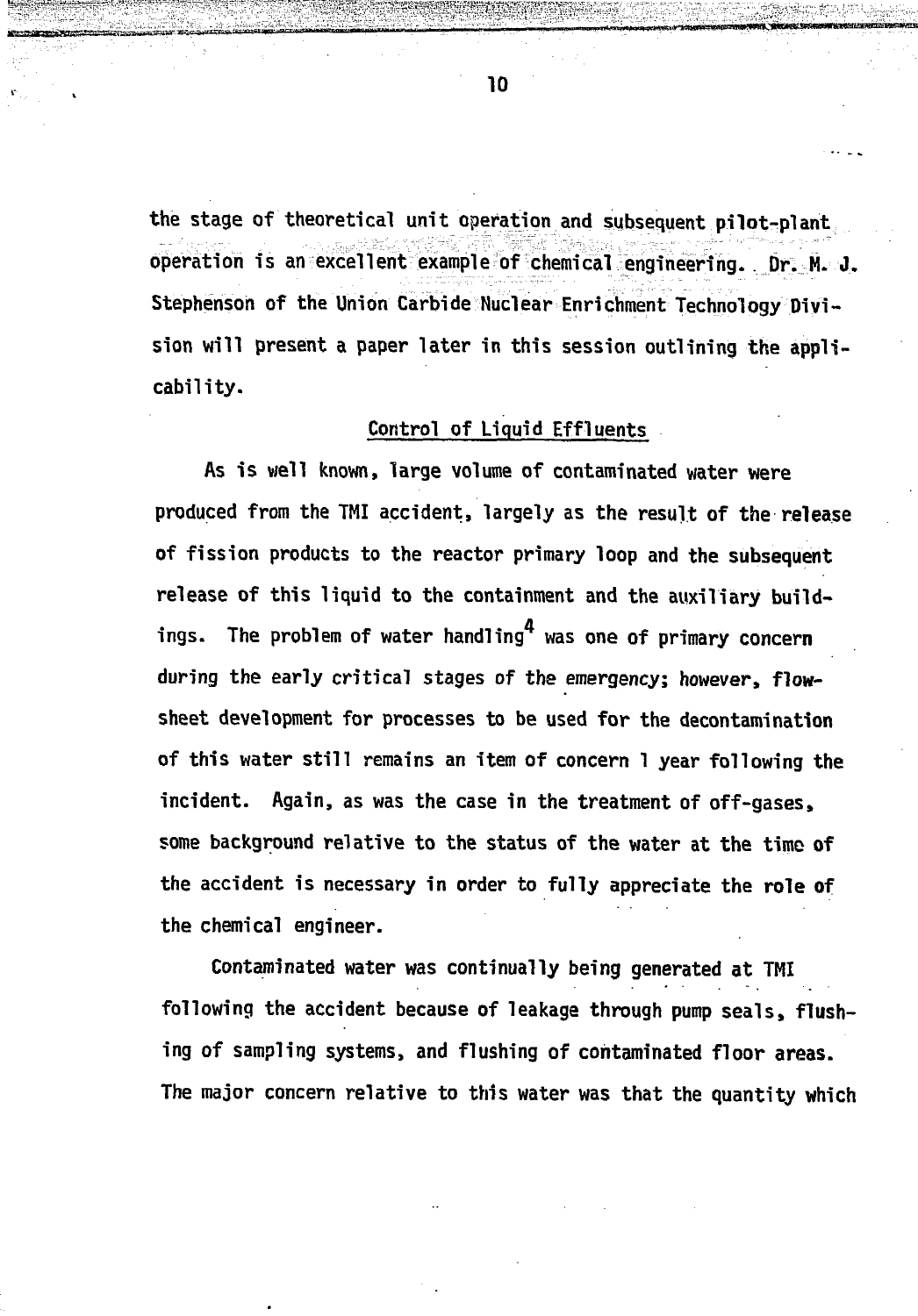**the stage of theoretical unit operation and subsequent pilot-plant operation is an excellent example of chemical engineering. , Dr. M. J. Stephenson of the Union Carbide Nuclear Enrichment Technology Division will present a paper later in this session outlining the applicability.**

### **Control of Liquid Effluents**

**As is well known, large volume of contaminated water were produced from the TMI accident, largely as the result of the release of fission products to the reactor primary loop and the subsequent release of this liquid to the containment and the auxiliary build**ings. The problem of water handling<sup>4</sup> was one of primary concern **during the early critical stages of the emergency; however, flowsheet development for processes to be used for the decontamination of this water still remains an item of concern 1 year following the incident. Again, as was the case in the treatment of off-gases, some background relative to the status of the water at the time of the accident is necessary in order to fully appreciate the role of the chemical engineer.**

**Contaminated water was continually being generated at TMI following the accident because of leakage through pump seals, flushing of sampling systems, and flushing of contaminated floor areas. The major concern relative to this water was that the quantity which**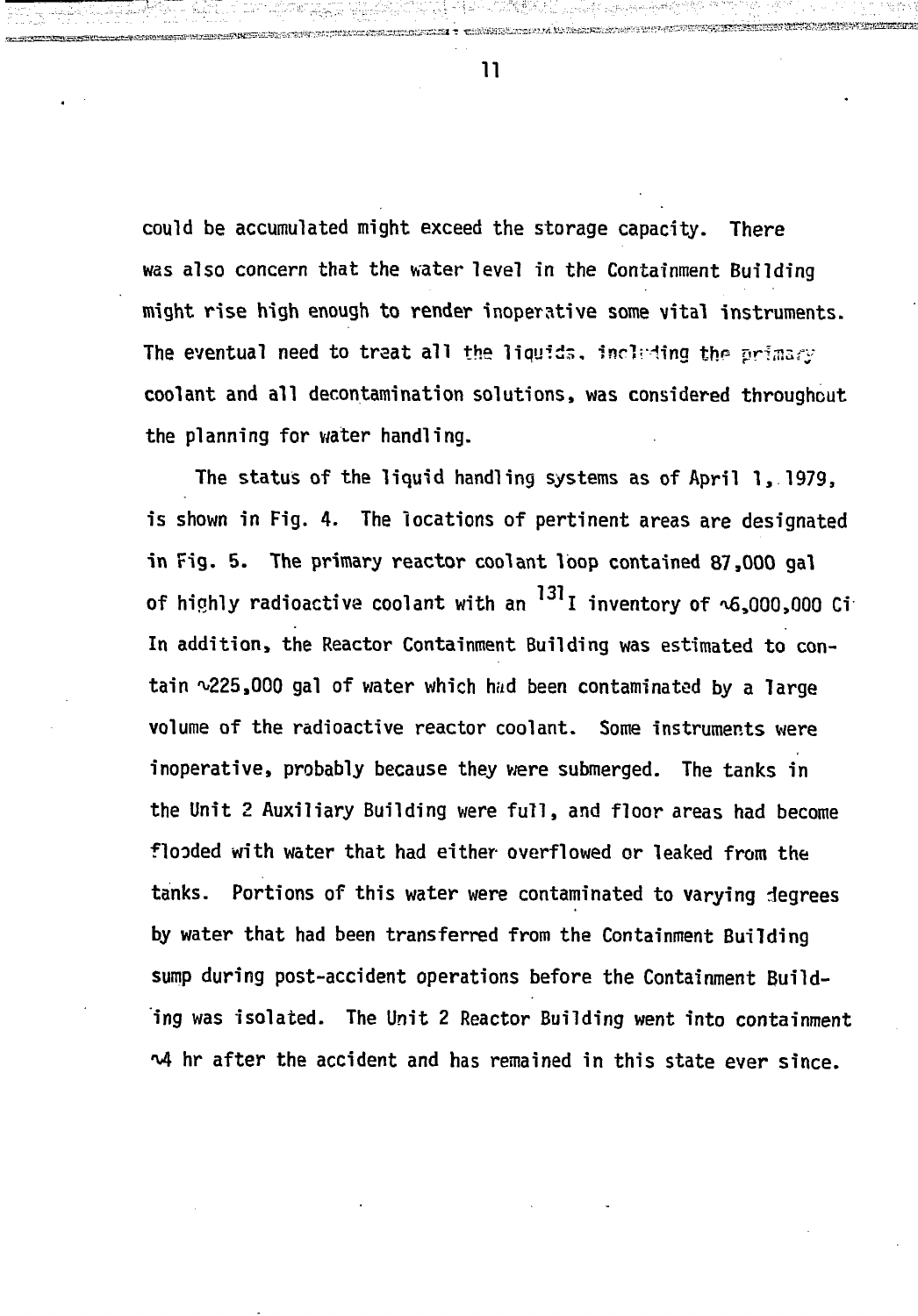could be accumulated might exceed the storage capacity. There was also concern that the water level in the Containment Building might rise high enough to render inoperative some vital instruments. The eventual need to treat all the liquids, including the primary coolant and all decontamination solutions, was considered throughout the planning for water handling.

The status of the liquid handling systems as of April 1, 1979, is shown in Fig. 4. The locations of pertinent areas are designated in Fig. 5. The primary reactor coolant loop contained 87,000 gal of highly radioactive coolant with an <sup>131</sup>I inventory of **^6,000,000 Ci** In addition, the Reactor Containment Building was estimated to contain ~225,000 gal of water which had been contaminated by a large volume of the radioactive reactor coolant. Some instruments were inoperative, probably because they were submerged. The tanks in the Unit 2 Auxiliary Building were full, and floor areas had become flooded with water that had either overflowed or leaked from the tanks. Portions of this water were contaminated to varying degrees by water that had been transferred from the Containment Building sump during post-accident operations before the Containment Building was isolated. The Unit 2 Reactor Building went into containment M hr after the accident and has remained in this state ever since.

**11**

, - *~<* —'- r-.ru - r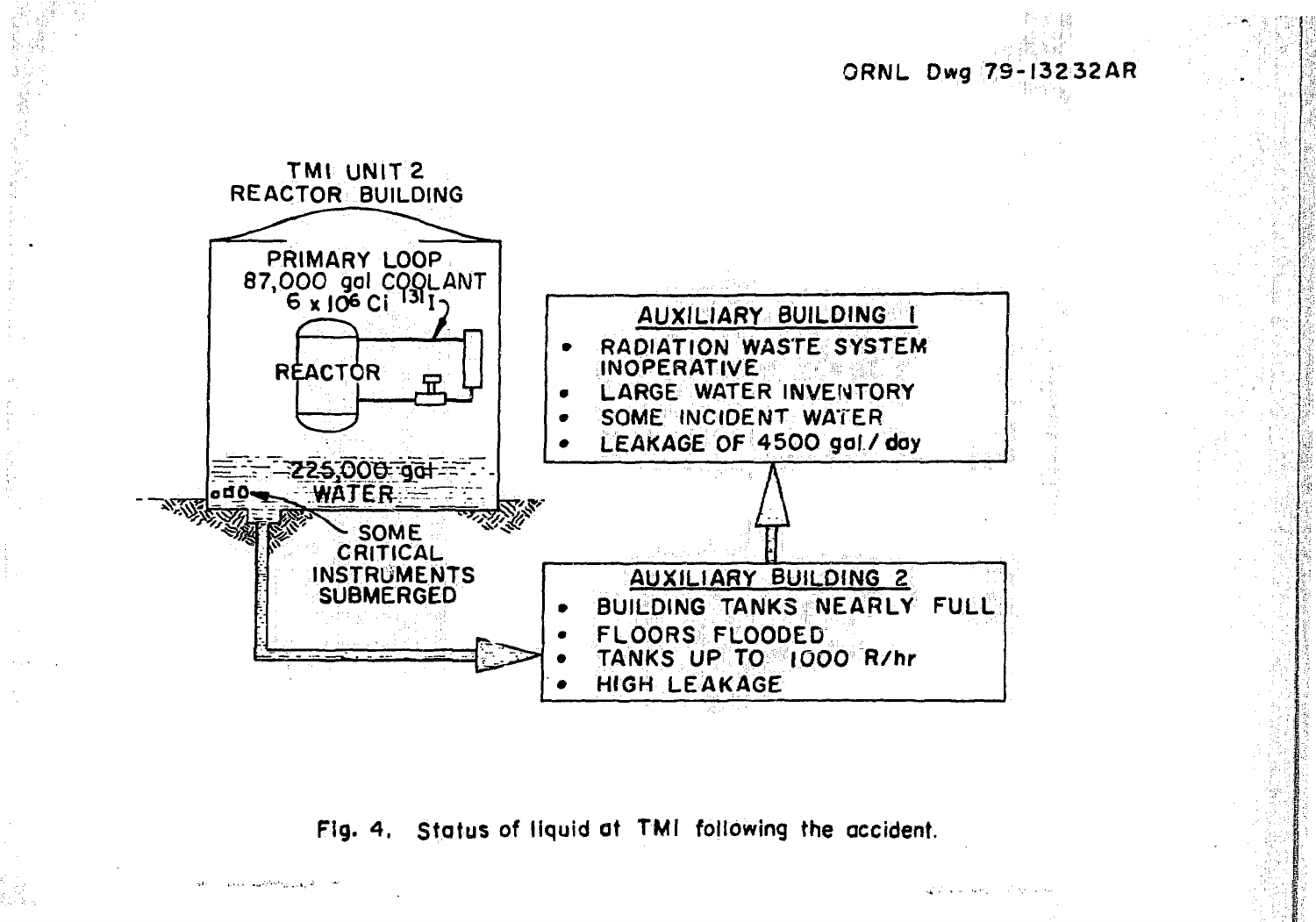ORNL Dwg 79-13232AR



Fig. 4. Status of liquid at TMI following the accident.

and called from a car of the me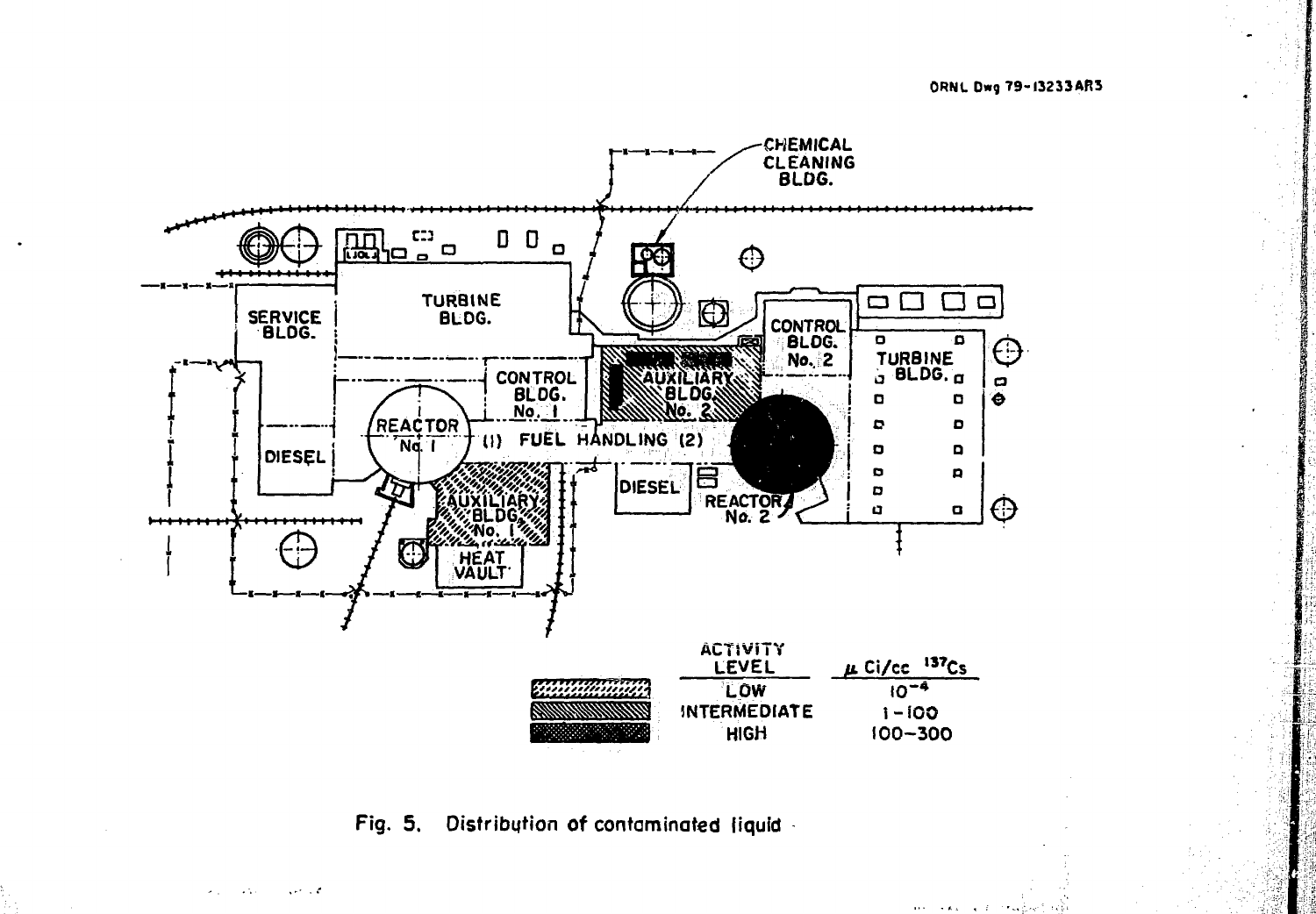ORNL Dwg 79-13233AR3

 $\mathbf{14.5}$  ,  $\mathbf{14.6}$  ,  $\mathbf{14.7}$ 



**Fig. 5.** Distribution of contaminated liquid

 $\chi$  and  $\chi$  of  $\chi$ 

 $\sim 1.1$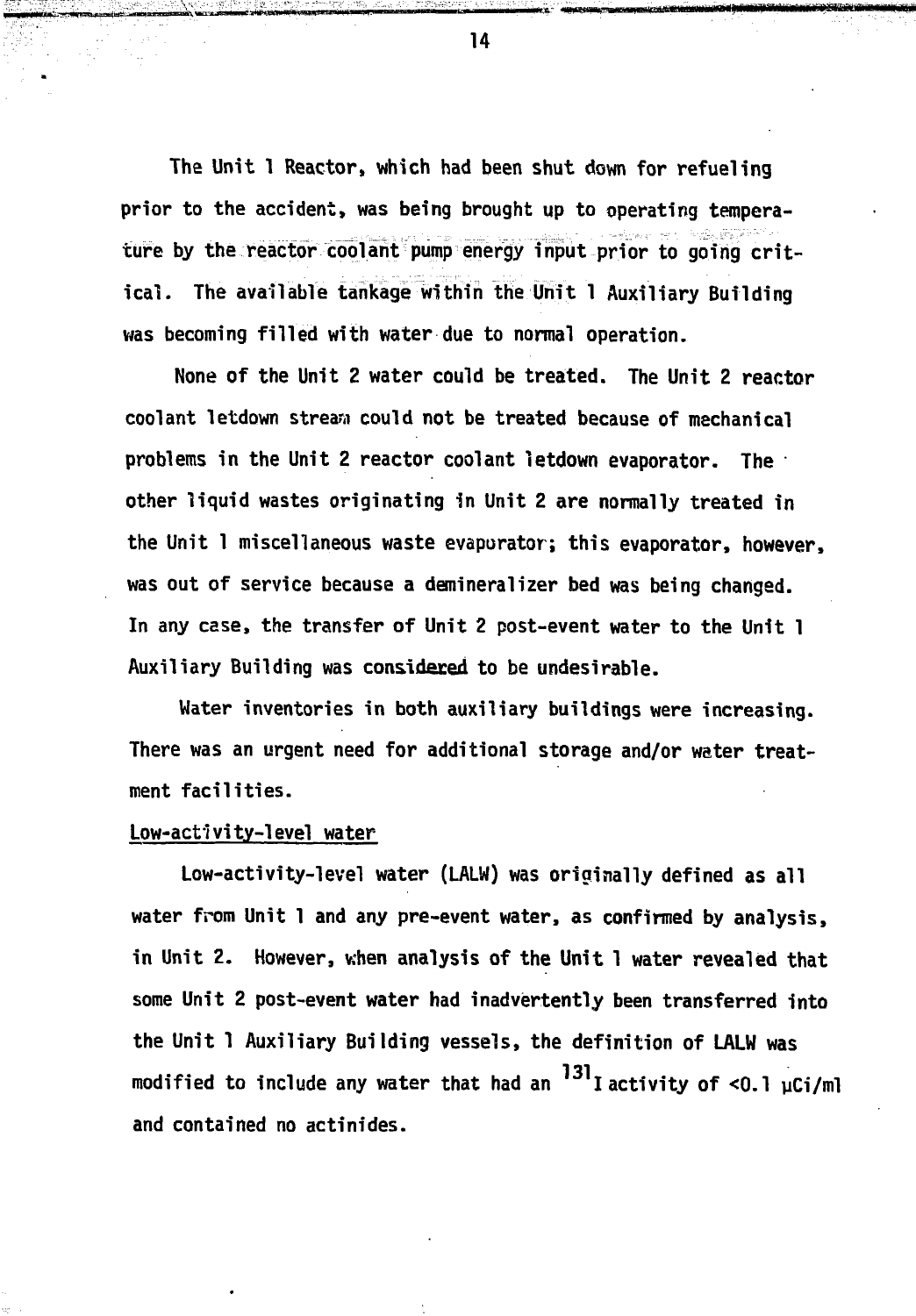**The Unit 1 Reactor, which had been shut down for refueling prior to the accident, was being brought up to operating temperature by the reactor coolant pump energy input prior to going critical. The available tankage within the Unit 1 Auxiliary Building was becoming filled with water due to normal operation.**

**None of the Unit 2 water could be treated. The Unit 2 reactor coolant letdown stream could not be treated because of mechanical problems in the Unit 2 reactor coolant letdown evaporator. The other liquid wastes originating in Unit 2 are normally treated in the Unit 1 miscellaneous waste evaporator; this evaporator, however, was out of service because a demineralizer bed was being changed. In any case, the transfer of Unit 2 post-event water to the Unit 1 Auxiliary Building was considered to be undesirable.**

**Water inventories in both auxiliary buildings were increasing. There was an urgent need for additional storage and/or water treatment facilities.**

#### **Low-acti vi ty-1eve! water**

**Low-activity-level water (LALW) was originally defined as all water from Unit 1 and any pre-event water, as confirmed by analysis, in Unit 2. However, when analysis of the Unit 1 water revealed that some Unit 2 post-event water had inadvertently been transferred into the Unit 1 Auxiliary Building vessels, the definition of LALW was** modified to include any water that had an <sup>131</sup>I activity of <0.1 µCi/ml **modified to include any water that had an I activity of <0.1 uCi/ml and contained no actinides.**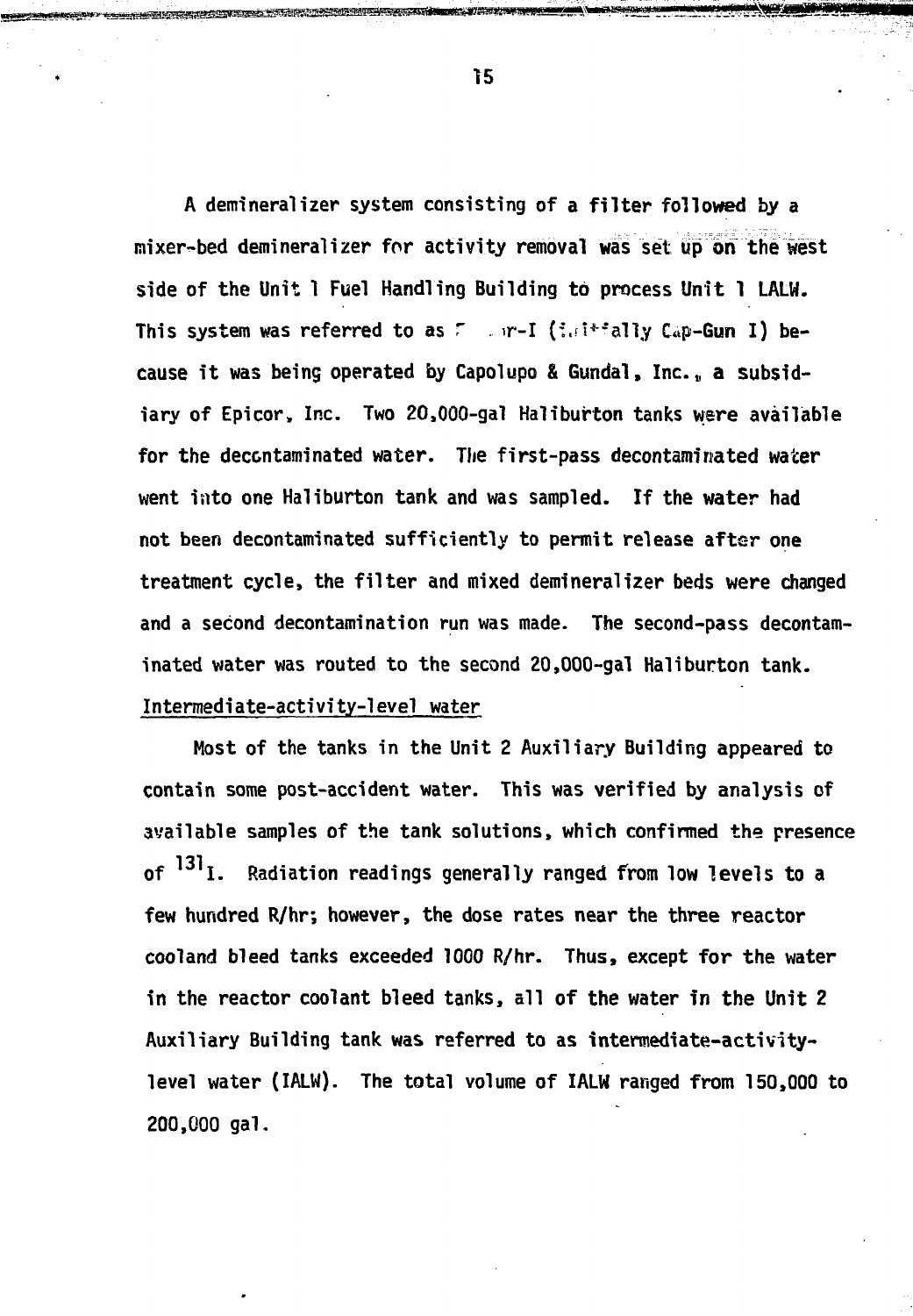A demineralizer system consisting of a filter followed by a mixer-bed demineralizer for activity removal was set up on the west side of the Unit 1 Fuel Handling Building to process Unit 1 LALW. This system was referred to as  $\mathbb{F}$  . in-I (i.d\*\*ally Cap-Gun I) because it was being operated by Capolupo & Gundal, Inc., a subsidiary of Epicor, Inc. Two 20,000-gal Haliburton tanks were available for the decontaminated water. The first-pass decontaminated water went into one Haliburton tank and was sampled. If the water had not been decontaminated sufficiently to permit release after one treatment cycle, the filter and mixed demineralizer beds were changed and a second decontamination run was made. The second-pass decontaminated water was routed to the second 20,000-gal Haliburton tank. Intermediate-activity-level water

Most of the tanks in the Unit 2 Auxiliary Building appeared to contain some post-accident water. This was verified by analysis of available samples of the tank solutions, which confirmed the presence of <sup>131</sup>I. Radiation readings generally ranged from low levels to a few hundred R/hr; however, the dose rates near the three reactor cooland bleed tanks exceeded 1000 R/hr. Thus, except for the water in the reactor coolant bleed tanks, all of the water in the Unit 2 Auxiliary Building tank was referred to as intermediate-activitylevel water (IALW). The total volume of IALW ranged from 150,000 to 200,000 gal.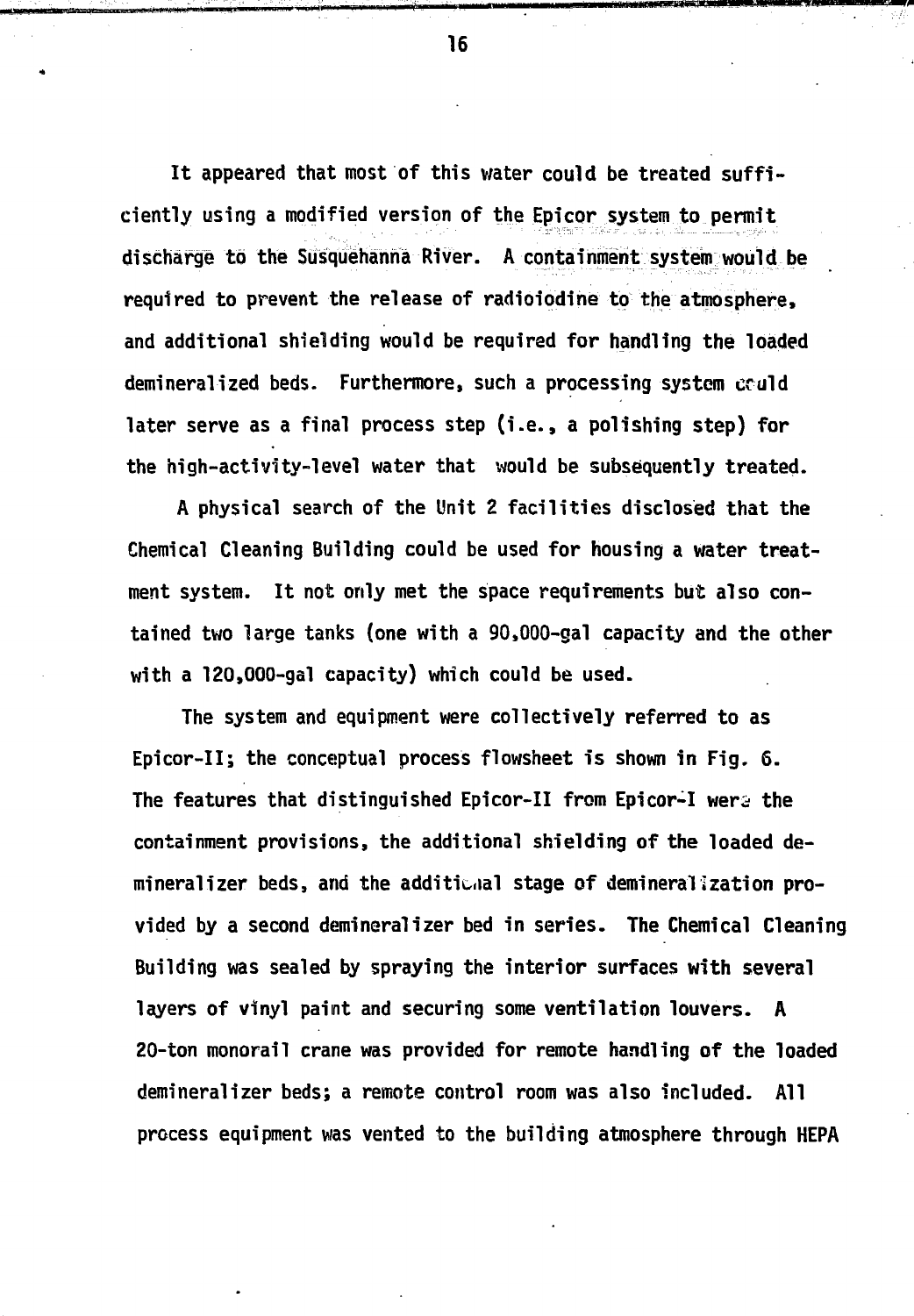It appeared that most of this water could be treated sufficiently using a modified version of the Epicor system to permit discharge to the Susquehanna River. A containment system would be required to prevent the release of radioiodine to the atmosphere, and additional shielding would be required for handling the loaded demineralized beds. Furthermore, such a processing system eculd later serve as a final process step (i.e. , a polishing step) for the high-activity-level water that would be subsequently treated.

A physical search of the Unit 2 facilities disclosed that the Chemical Cleaning Building could be used for housing a water treatment system. It not only met the space requirements but also contained two large tanks (one with a 90,000-gal capacity and the other with a 120,000-gal capacity) which could be used.

The system and equipment were collectively referred to as Epicor-II; the conceptual process flowsheet is shown in Fig. 6. The features that distinguished Epicor-II from Epicor-I were the containment provisions, the additional shielding of the loaded demineral izer beds, and the additiuial stage of demineralization provided by a second demineralizer bed in series. The Chemical Cleaning Building was sealed by spraying the interior surfaces with several layers of vinyl paint and securing some ventilation louvers. A 20-ton monorail crane was provided for remote handling of the loaded demineralizer beds; a remote control room was also included. All process equipment was vented to the building atmosphere through HEPA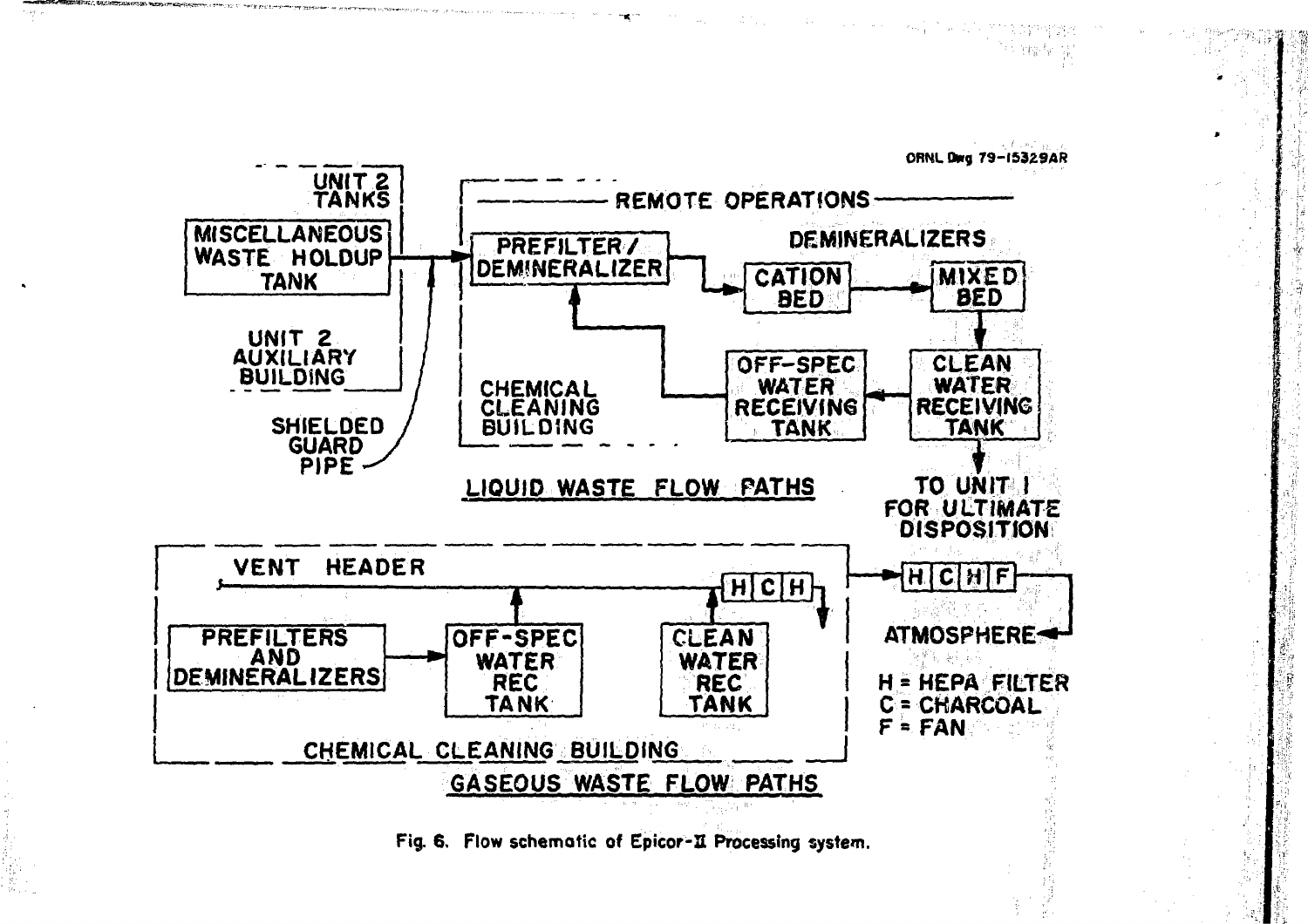

Fig. 6. Flow schematic of Epicor-II Processing system.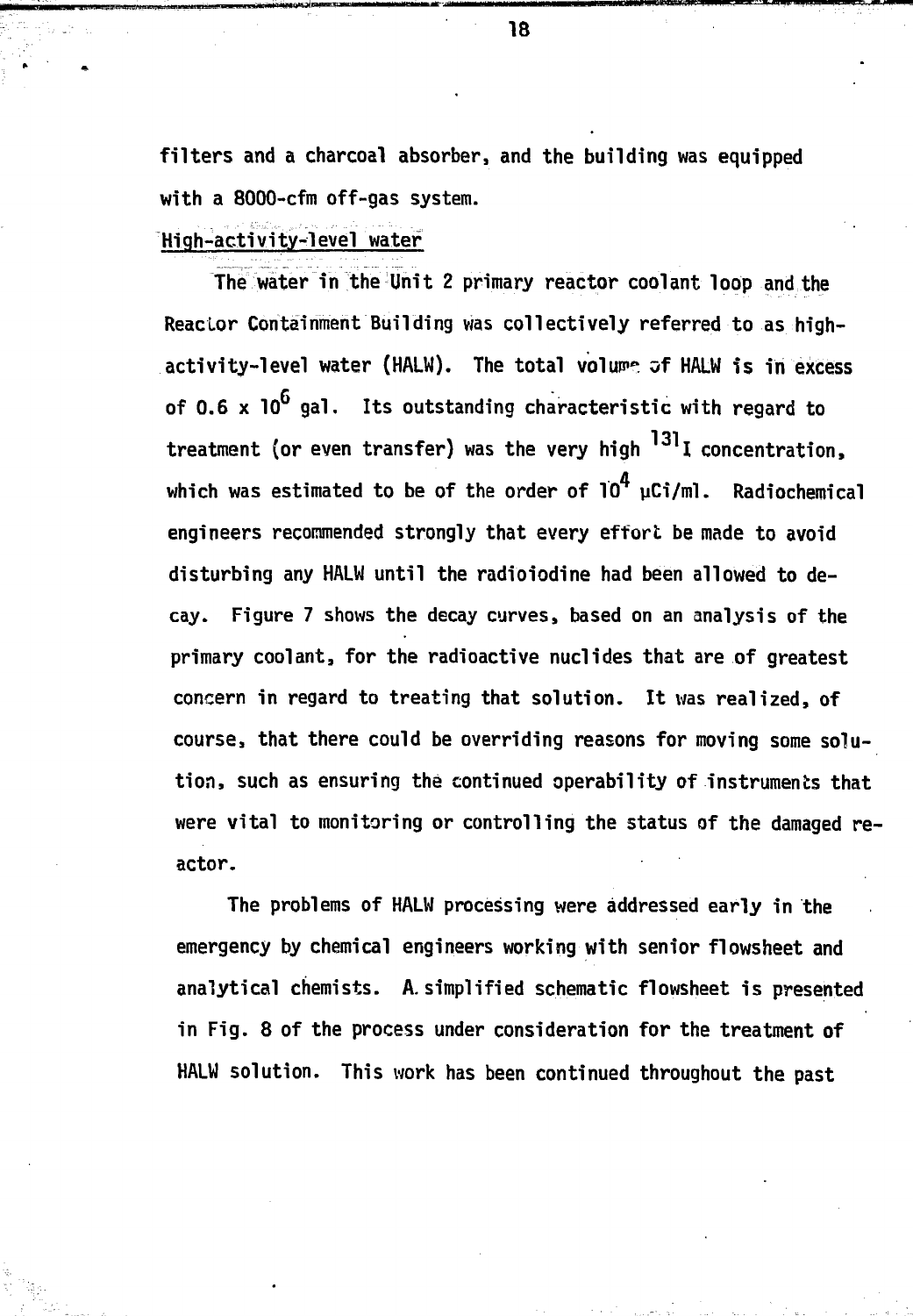**filters and a charcoal absorber, and the building was equipped with a 8000-cfm off-gas system.**

**High-activity-level water**

**The water in the Unit 2 primary reactor coolant loop and the Reactor Containment Building was collectively referred to as high**activity-level water (HALW). The total volume of HALW is in excess **of 0.6 x 10 gal. Its outstanding characteristic with regard to** 131 **treatment (or even transfer) was the very high I concentration, which was estimated to be of the order of 10 uCi/ml. Radiochemical** engineers recommended strongly that every effort be made to avoid **disturbing any HALW until the radioiodine had been allowed to decay. Figure 7 shows the decay curves, based on an analysis of the primary coolant, for the radioactive nuclides that are of greatest concern in regard to treating that solution. It was realized, of course, that there could be overriding reasons for moving some solution, such as ensuring the continued operability of instruments that were vital to monitoring or controlling the status of the damaged reactor.**

**The problems of HALW processing were addressed early in the emergency by chemical engineers working with senior flowsheet and analytical chemists. A. simplified schematic flowsheet is presented in Fig. 8 of the process under consideration for the treatment of HALW solution. This work has been continued throughout the past**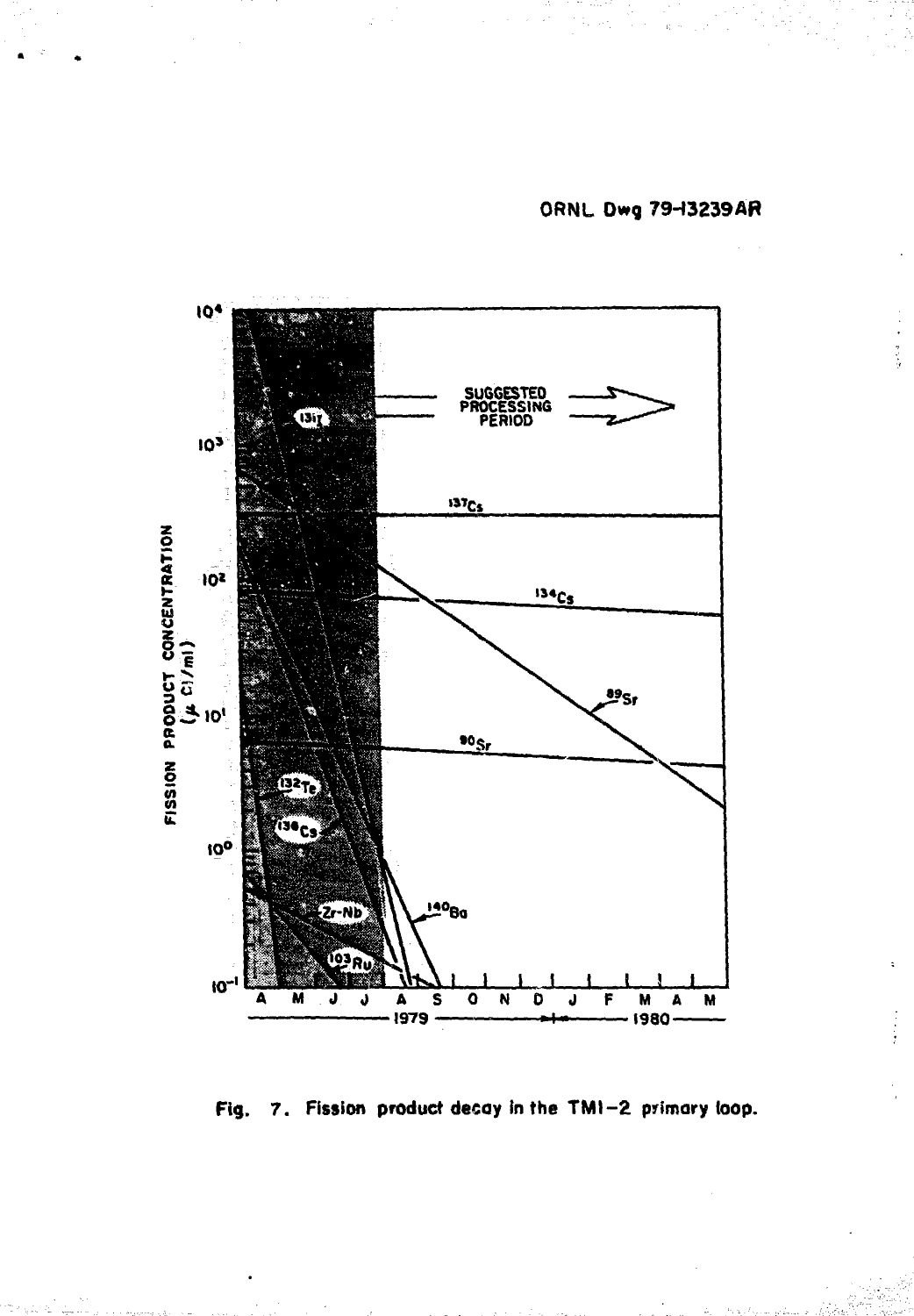**ORNL Dwg 79H3239AR**

医子宫神经节



**Rg. 7. Fission product decay in the TMI-2 primary toop.**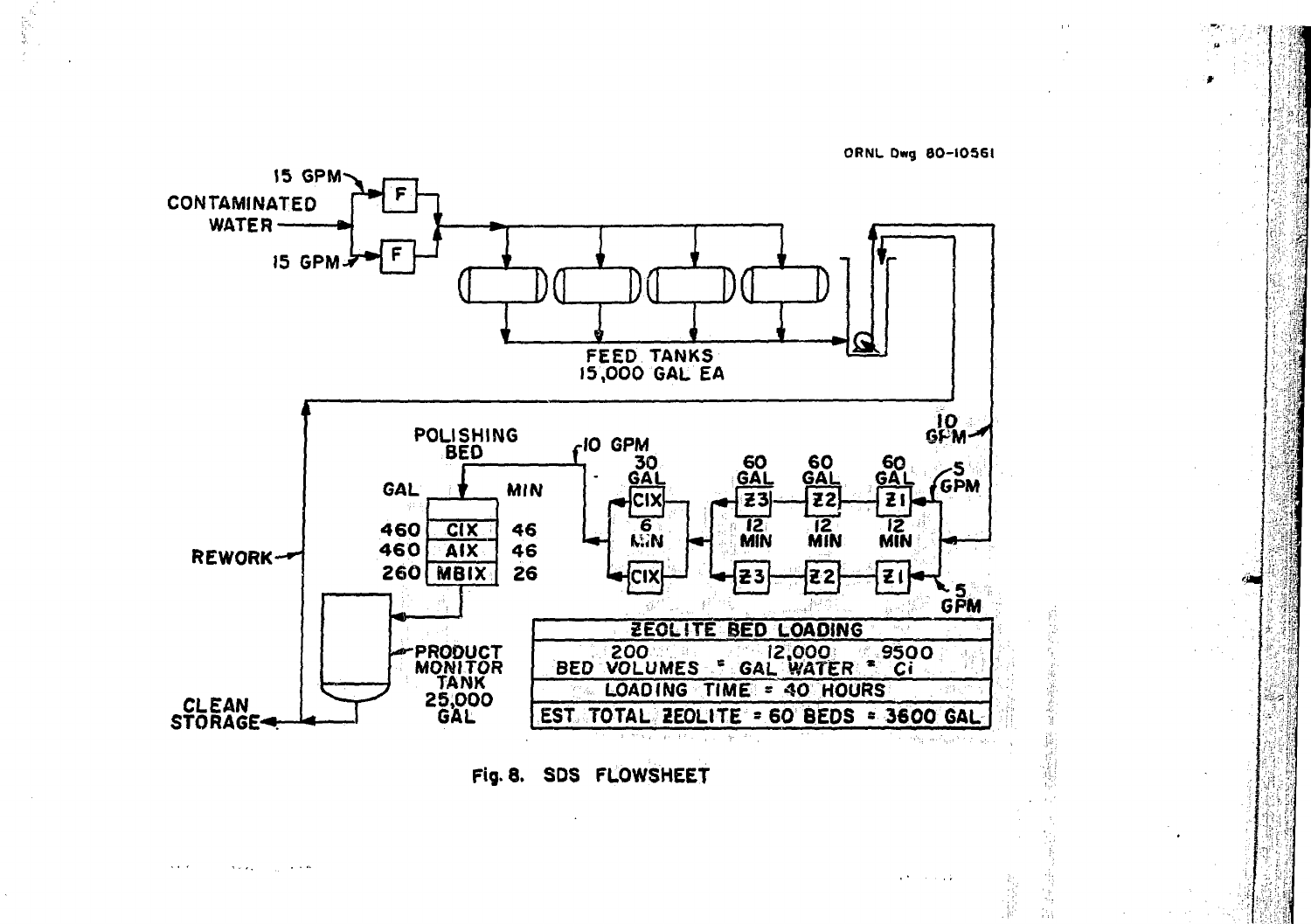

ORNL Dwg 80-10561

Fig. 8. SDS FLOWSHEET

 $\mathcal{A}$  , and  $\mathcal{A}$  $\mathcal{R} \sim \mathcal{R}_{\rm eff}$  . **Contractor** 

 $\alpha$  for a second  $\alpha$ 

缶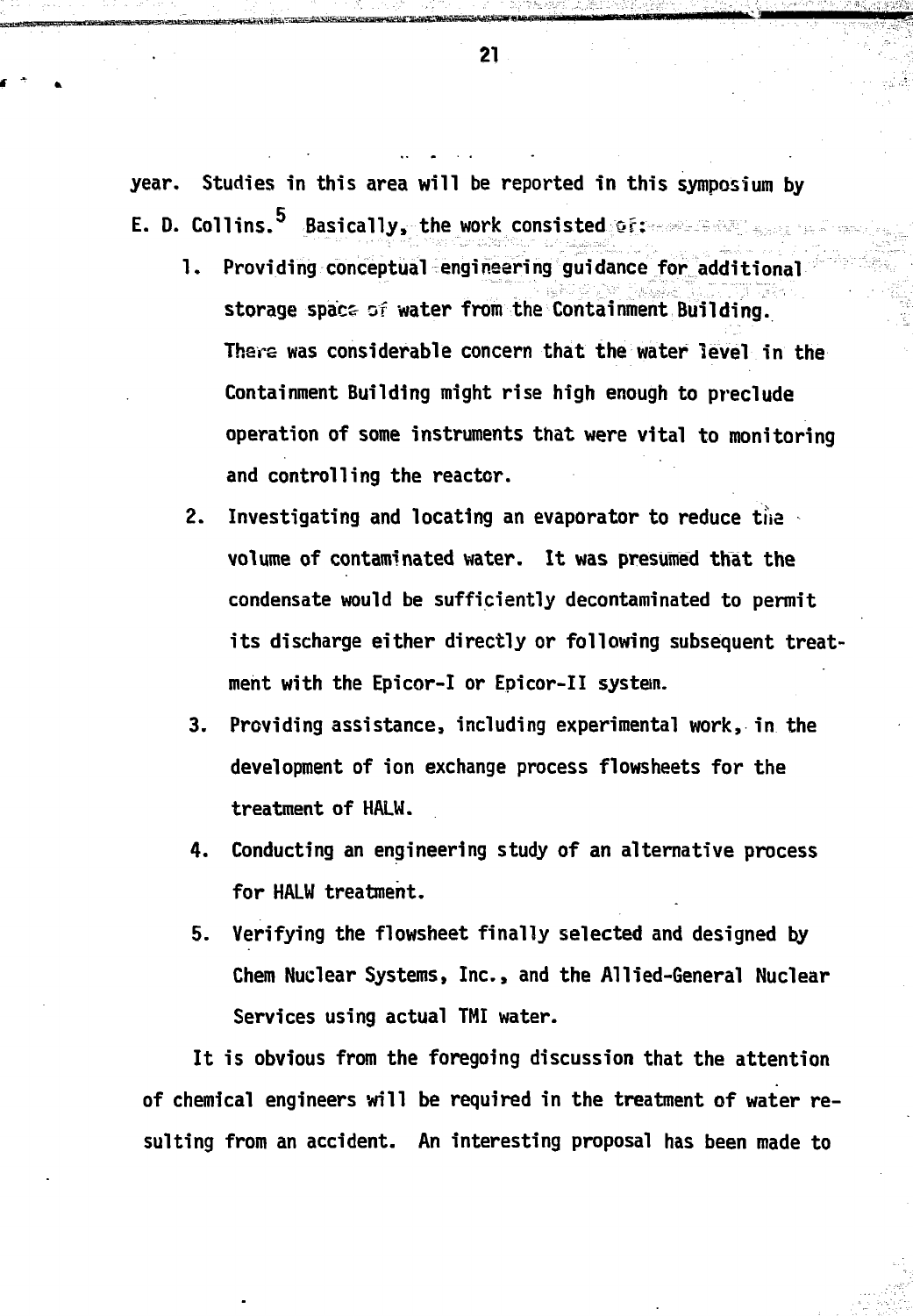year. Studies in this area will be reported in this symposium by E. D. Collins.<sup>5</sup> Basically, the work consisted creations and some and

- 1. Providing conceptual engineering guidance for additional storage space of water from the Containment Building. There was considerable concern that the water level in the Containment Building might rise high enough to preclude operation of some instruments that were vital to monitoring and controlling the reactor.
- 2. Investigating and locating an evaporator to reduce the volume of contaminated water. It was presumed that the condensate would be sufficiently decontaminated to permit its discharge either directly or following subsequent treatment with the Epicor-I or Epicor-II system.
- 3. Providing assistance, including experimental work, in the development of ion exchange process flowsheets for the treatment of HALW.
- 4. Conducting an engineering study of an alternative process for HALW treatment.
- 5. Verifying the flowsheet finally selected and designed by Chem Nuclear Systems, Inc., and the Allied-General Nuclear Services using actual TMI water.

It is obvious from the foregoing discussion that the attention of chemical engineers will be required in the treatment of water resulting from an accident. An interesting proposal has been made to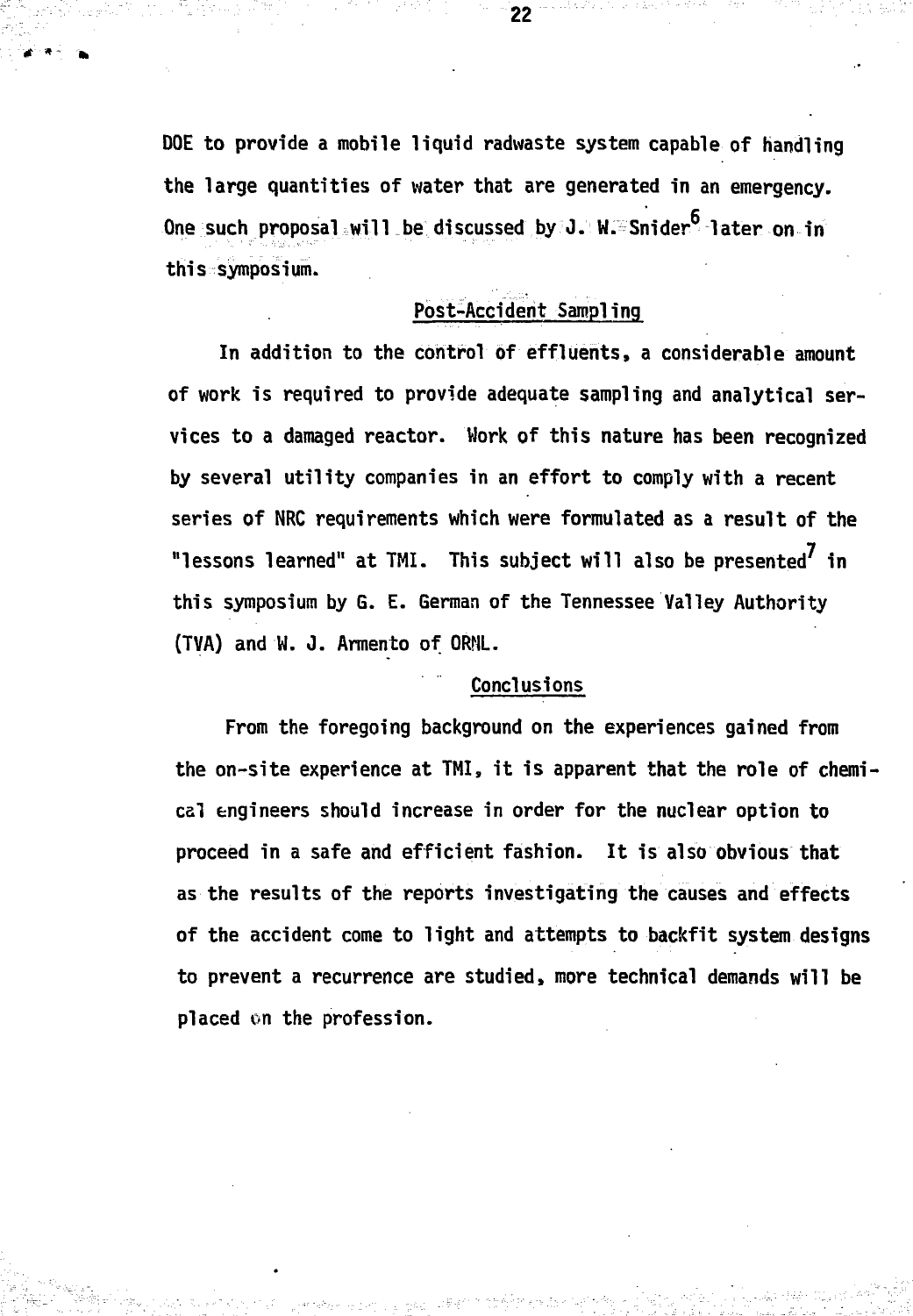DOE to provide a mobile liquid radwaste system capable of handling the large quantities of water that are generated in an emergency. One such proposal will be discussed by J. W. Snider later on in this symposium.

22

# Post-Accident Sampling

In addition to the control of effluents, a considerable amount of work is required to provide adequate sampling and analytical services to a damaged reactor. Work of this nature has been recognized by several utility companies in an effort to comply with a recent series of NRC requirements which were formulated as a result of the "lessons learned" at TMI. This subject will also be presented' in this symposium by G. E. German of the Tennessee Valley Authority (TVA) and W. J. Armento of ORNL.

# Conclusions

From the foregoing background on the experiences gained from the on-site experience at TMI, it is apparent that the role of chemical engineers should increase in order for the nuclear option to proceed in a safe and efficient fashion. It is also obvious that as the results of the reports investigating the causes and effects of the accident come to light and attempts to backfit system designs to prevent a recurrence are studied, more technical demands will be placed on the profession.